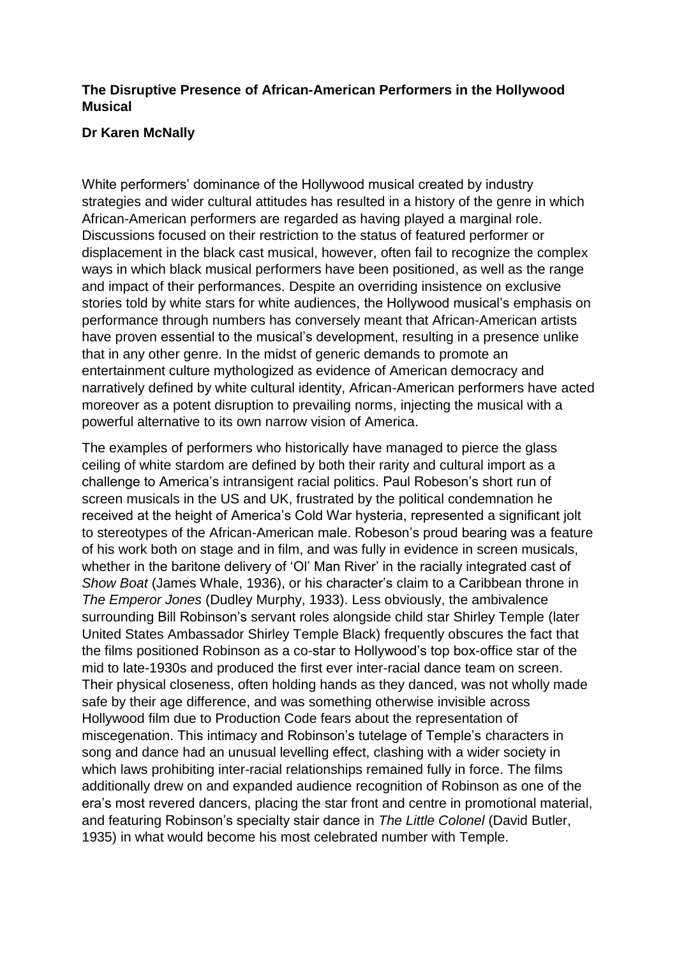## **The Disruptive Presence of African-American Performers in the Hollywood Musical**

## **Dr Karen McNally**

White performers' dominance of the Hollywood musical created by industry strategies and wider cultural attitudes has resulted in a history of the genre in which African-American performers are regarded as having played a marginal role. Discussions focused on their restriction to the status of featured performer or displacement in the black cast musical, however, often fail to recognize the complex ways in which black musical performers have been positioned, as well as the range and impact of their performances. Despite an overriding insistence on exclusive stories told by white stars for white audiences, the Hollywood musical's emphasis on performance through numbers has conversely meant that African-American artists have proven essential to the musical's development, resulting in a presence unlike that in any other genre. In the midst of generic demands to promote an entertainment culture mythologized as evidence of American democracy and narratively defined by white cultural identity, African-American performers have acted moreover as a potent disruption to prevailing norms, injecting the musical with a powerful alternative to its own narrow vision of America.

The examples of performers who historically have managed to pierce the glass ceiling of white stardom are defined by both their rarity and cultural import as a challenge to America's intransigent racial politics. Paul Robeson's short run of screen musicals in the US and UK, frustrated by the political condemnation he received at the height of America's Cold War hysteria, represented a significant jolt to stereotypes of the African-American male. Robeson's proud bearing was a feature of his work both on stage and in film, and was fully in evidence in screen musicals, whether in the baritone delivery of 'Ol' Man River' in the racially integrated cast of *Show Boat* (James Whale, 1936), or his character's claim to a Caribbean throne in *The Emperor Jones* (Dudley Murphy, 1933). Less obviously, the ambivalence surrounding Bill Robinson's servant roles alongside child star Shirley Temple (later United States Ambassador Shirley Temple Black) frequently obscures the fact that the films positioned Robinson as a co-star to Hollywood's top box-office star of the mid to late-1930s and produced the first ever inter-racial dance team on screen. Their physical closeness, often holding hands as they danced, was not wholly made safe by their age difference, and was something otherwise invisible across Hollywood film due to Production Code fears about the representation of miscegenation. This intimacy and Robinson's tutelage of Temple's characters in song and dance had an unusual levelling effect, clashing with a wider society in which laws prohibiting inter-racial relationships remained fully in force. The films additionally drew on and expanded audience recognition of Robinson as one of the era's most revered dancers, placing the star front and centre in promotional material, and featuring Robinson's specialty stair dance in *The Little Colonel* (David Butler, 1935) in what would become his most celebrated number with Temple.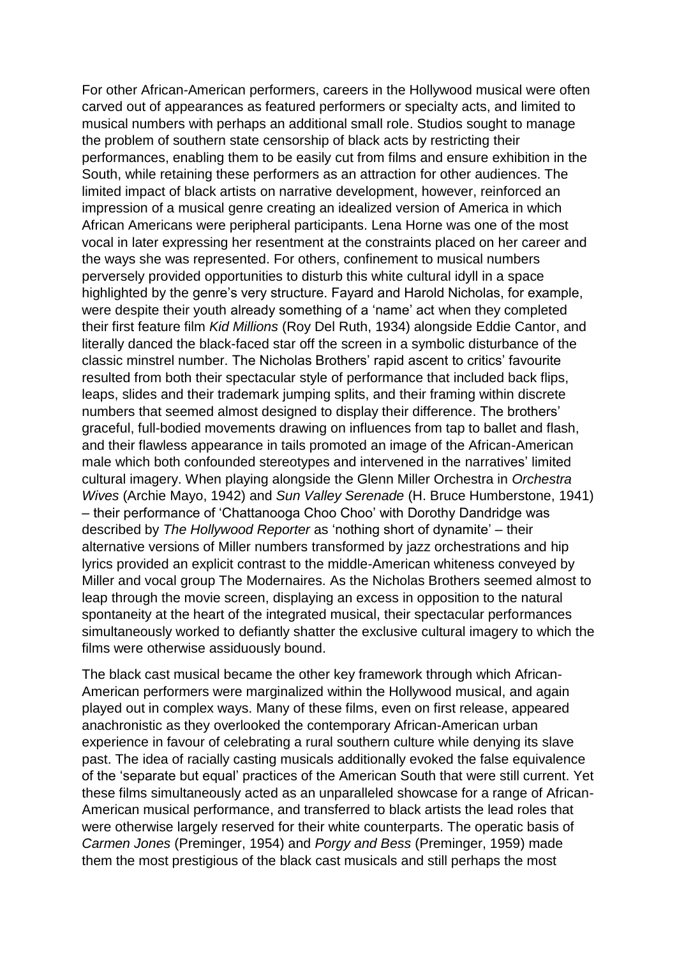For other African-American performers, careers in the Hollywood musical were often carved out of appearances as featured performers or specialty acts, and limited to musical numbers with perhaps an additional small role. Studios sought to manage the problem of southern state censorship of black acts by restricting their performances, enabling them to be easily cut from films and ensure exhibition in the South, while retaining these performers as an attraction for other audiences. The limited impact of black artists on narrative development, however, reinforced an impression of a musical genre creating an idealized version of America in which African Americans were peripheral participants. Lena Horne was one of the most vocal in later expressing her resentment at the constraints placed on her career and the ways she was represented. For others, confinement to musical numbers perversely provided opportunities to disturb this white cultural idyll in a space highlighted by the genre's very structure. Fayard and Harold Nicholas, for example, were despite their youth already something of a 'name' act when they completed their first feature film *Kid Millions* (Roy Del Ruth, 1934) alongside Eddie Cantor, and literally danced the black-faced star off the screen in a symbolic disturbance of the classic minstrel number. The Nicholas Brothers' rapid ascent to critics' favourite resulted from both their spectacular style of performance that included back flips, leaps, slides and their trademark jumping splits, and their framing within discrete numbers that seemed almost designed to display their difference. The brothers' graceful, full-bodied movements drawing on influences from tap to ballet and flash, and their flawless appearance in tails promoted an image of the African-American male which both confounded stereotypes and intervened in the narratives' limited cultural imagery. When playing alongside the Glenn Miller Orchestra in *Orchestra Wives* (Archie Mayo, 1942) and *Sun Valley Serenade* (H. Bruce Humberstone, 1941) – their performance of 'Chattanooga Choo Choo' with Dorothy Dandridge was described by *The Hollywood Reporter* as 'nothing short of dynamite' – their alternative versions of Miller numbers transformed by jazz orchestrations and hip lyrics provided an explicit contrast to the middle-American whiteness conveyed by Miller and vocal group The Modernaires. As the Nicholas Brothers seemed almost to leap through the movie screen, displaying an excess in opposition to the natural spontaneity at the heart of the integrated musical, their spectacular performances simultaneously worked to defiantly shatter the exclusive cultural imagery to which the films were otherwise assiduously bound.

The black cast musical became the other key framework through which African-American performers were marginalized within the Hollywood musical, and again played out in complex ways. Many of these films, even on first release, appeared anachronistic as they overlooked the contemporary African-American urban experience in favour of celebrating a rural southern culture while denying its slave past. The idea of racially casting musicals additionally evoked the false equivalence of the 'separate but equal' practices of the American South that were still current. Yet these films simultaneously acted as an unparalleled showcase for a range of African-American musical performance, and transferred to black artists the lead roles that were otherwise largely reserved for their white counterparts. The operatic basis of *Carmen Jones* (Preminger, 1954) and *Porgy and Bess* (Preminger, 1959) made them the most prestigious of the black cast musicals and still perhaps the most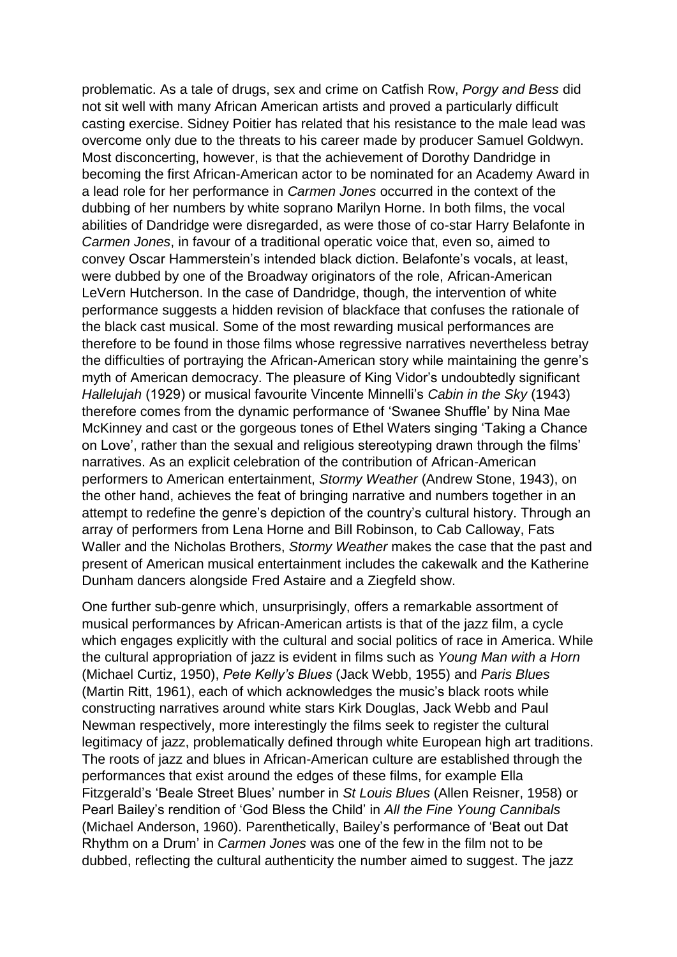problematic. As a tale of drugs, sex and crime on Catfish Row, *Porgy and Bess* did not sit well with many African American artists and proved a particularly difficult casting exercise. Sidney Poitier has related that his resistance to the male lead was overcome only due to the threats to his career made by producer Samuel Goldwyn. Most disconcerting, however, is that the achievement of Dorothy Dandridge in becoming the first African-American actor to be nominated for an Academy Award in a lead role for her performance in *Carmen Jones* occurred in the context of the dubbing of her numbers by white soprano Marilyn Horne. In both films, the vocal abilities of Dandridge were disregarded, as were those of co-star Harry Belafonte in *Carmen Jones*, in favour of a traditional operatic voice that, even so, aimed to convey Oscar Hammerstein's intended black diction. Belafonte's vocals, at least, were dubbed by one of the Broadway originators of the role, African-American LeVern Hutcherson. In the case of Dandridge, though, the intervention of white performance suggests a hidden revision of blackface that confuses the rationale of the black cast musical. Some of the most rewarding musical performances are therefore to be found in those films whose regressive narratives nevertheless betray the difficulties of portraying the African-American story while maintaining the genre's myth of American democracy. The pleasure of King Vidor's undoubtedly significant *Hallelujah* (1929) or musical favourite Vincente Minnelli's *Cabin in the Sky* (1943) therefore comes from the dynamic performance of 'Swanee Shuffle' by Nina Mae McKinney and cast or the gorgeous tones of Ethel Waters singing 'Taking a Chance on Love', rather than the sexual and religious stereotyping drawn through the films' narratives. As an explicit celebration of the contribution of African-American performers to American entertainment, *Stormy Weather* (Andrew Stone, 1943), on the other hand, achieves the feat of bringing narrative and numbers together in an attempt to redefine the genre's depiction of the country's cultural history. Through an array of performers from Lena Horne and Bill Robinson, to Cab Calloway, Fats Waller and the Nicholas Brothers, *Stormy Weather* makes the case that the past and present of American musical entertainment includes the cakewalk and the Katherine Dunham dancers alongside Fred Astaire and a Ziegfeld show.

One further sub-genre which, unsurprisingly, offers a remarkable assortment of musical performances by African-American artists is that of the jazz film, a cycle which engages explicitly with the cultural and social politics of race in America. While the cultural appropriation of jazz is evident in films such as *Young Man with a Horn* (Michael Curtiz, 1950), *Pete Kelly's Blues* (Jack Webb, 1955) and *Paris Blues* (Martin Ritt, 1961), each of which acknowledges the music's black roots while constructing narratives around white stars Kirk Douglas, Jack Webb and Paul Newman respectively, more interestingly the films seek to register the cultural legitimacy of jazz, problematically defined through white European high art traditions. The roots of jazz and blues in African-American culture are established through the performances that exist around the edges of these films, for example Ella Fitzgerald's 'Beale Street Blues' number in *St Louis Blues* (Allen Reisner, 1958) or Pearl Bailey's rendition of 'God Bless the Child' in *All the Fine Young Cannibals* (Michael Anderson, 1960). Parenthetically, Bailey's performance of 'Beat out Dat Rhythm on a Drum' in *Carmen Jones* was one of the few in the film not to be dubbed, reflecting the cultural authenticity the number aimed to suggest. The jazz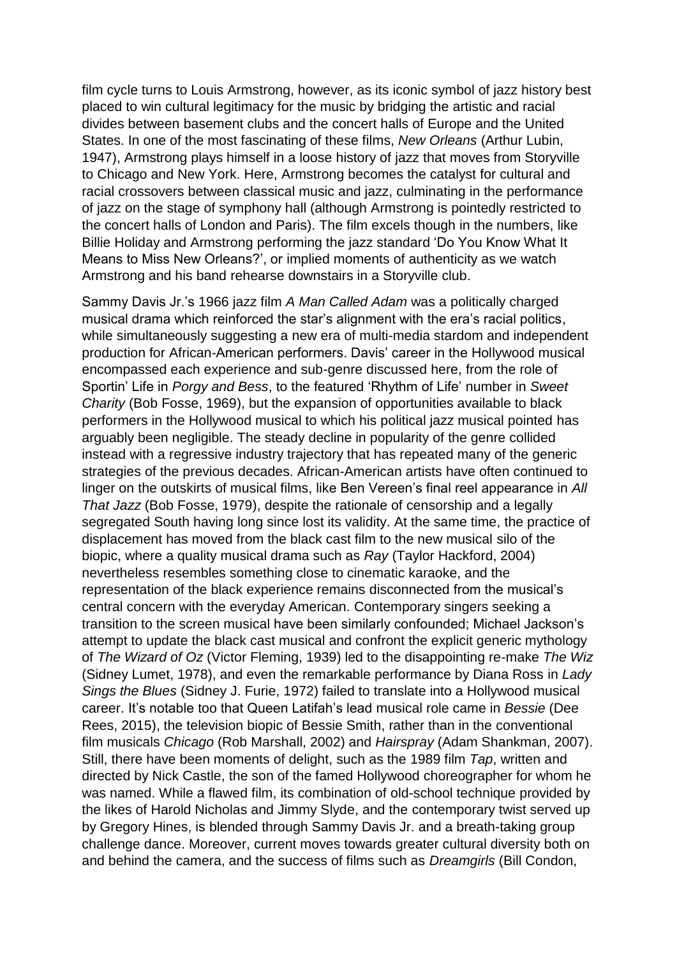film cycle turns to Louis Armstrong, however, as its iconic symbol of jazz history best placed to win cultural legitimacy for the music by bridging the artistic and racial divides between basement clubs and the concert halls of Europe and the United States. In one of the most fascinating of these films, *New Orleans* (Arthur Lubin, 1947), Armstrong plays himself in a loose history of jazz that moves from Storyville to Chicago and New York. Here, Armstrong becomes the catalyst for cultural and racial crossovers between classical music and jazz, culminating in the performance of jazz on the stage of symphony hall (although Armstrong is pointedly restricted to the concert halls of London and Paris). The film excels though in the numbers, like Billie Holiday and Armstrong performing the jazz standard 'Do You Know What It Means to Miss New Orleans?', or implied moments of authenticity as we watch Armstrong and his band rehearse downstairs in a Storyville club.

Sammy Davis Jr.'s 1966 jazz film *A Man Called Adam* was a politically charged musical drama which reinforced the star's alignment with the era's racial politics, while simultaneously suggesting a new era of multi-media stardom and independent production for African-American performers. Davis' career in the Hollywood musical encompassed each experience and sub-genre discussed here, from the role of Sportin' Life in *Porgy and Bess*, to the featured 'Rhythm of Life' number in *Sweet Charity* (Bob Fosse, 1969), but the expansion of opportunities available to black performers in the Hollywood musical to which his political jazz musical pointed has arguably been negligible. The steady decline in popularity of the genre collided instead with a regressive industry trajectory that has repeated many of the generic strategies of the previous decades. African-American artists have often continued to linger on the outskirts of musical films, like Ben Vereen's final reel appearance in *All That Jazz* (Bob Fosse, 1979), despite the rationale of censorship and a legally segregated South having long since lost its validity. At the same time, the practice of displacement has moved from the black cast film to the new musical silo of the biopic, where a quality musical drama such as *Ray* (Taylor Hackford, 2004) nevertheless resembles something close to cinematic karaoke, and the representation of the black experience remains disconnected from the musical's central concern with the everyday American. Contemporary singers seeking a transition to the screen musical have been similarly confounded; Michael Jackson's attempt to update the black cast musical and confront the explicit generic mythology of *The Wizard of Oz* (Victor Fleming, 1939) led to the disappointing re-make *The Wiz* (Sidney Lumet, 1978), and even the remarkable performance by Diana Ross in *Lady Sings the Blues* (Sidney J. Furie, 1972) failed to translate into a Hollywood musical career. It's notable too that Queen Latifah's lead musical role came in *Bessie* (Dee Rees, 2015), the television biopic of Bessie Smith, rather than in the conventional film musicals *Chicago* (Rob Marshall, 2002) and *Hairspray* (Adam Shankman, 2007). Still, there have been moments of delight, such as the 1989 film *Tap*, written and directed by Nick Castle, the son of the famed Hollywood choreographer for whom he was named. While a flawed film, its combination of old-school technique provided by the likes of Harold Nicholas and Jimmy Slyde, and the contemporary twist served up by Gregory Hines, is blended through Sammy Davis Jr. and a breath-taking group challenge dance. Moreover, current moves towards greater cultural diversity both on and behind the camera, and the success of films such as *Dreamgirls* (Bill Condon,